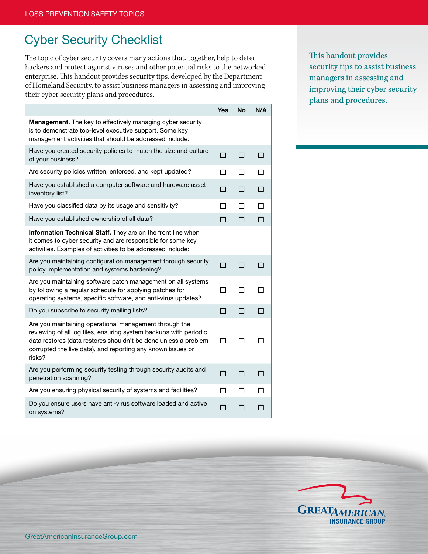## Cyber Security Checklist

The topic of cyber security covers many actions that, together, help to deter hackers and protect against viruses and other potential risks to the networked enterprise. This handout provides security tips, developed by the Department of Homeland Security, to assist business managers in assessing and improving their cyber security plans and procedures.

|                                                                                                                                                                                                                                                                         | <b>Yes</b> | <b>No</b> | N/A    |
|-------------------------------------------------------------------------------------------------------------------------------------------------------------------------------------------------------------------------------------------------------------------------|------------|-----------|--------|
| <b>Management.</b> The key to effectively managing cyber security<br>is to demonstrate top-level executive support. Some key<br>management activities that should be addressed include:                                                                                 |            |           |        |
| Have you created security policies to match the size and culture<br>of your business?                                                                                                                                                                                   | п          | п         | п      |
| Are security policies written, enforced, and kept updated?                                                                                                                                                                                                              | п          | п         | п      |
| Have you established a computer software and hardware asset<br>inventory list?                                                                                                                                                                                          | п          | п         | П      |
| Have you classified data by its usage and sensitivity?                                                                                                                                                                                                                  | п          | п         | $\Box$ |
| Have you established ownership of all data?                                                                                                                                                                                                                             | □          | $\Box$    | $\Box$ |
| Information Technical Staff. They are on the front line when<br>it comes to cyber security and are responsible for some key<br>activities. Examples of activities to be addressed include:                                                                              |            |           |        |
| Are you maintaining configuration management through security<br>policy implementation and systems hardening?                                                                                                                                                           | п          | п         | П      |
| Are you maintaining software patch management on all systems<br>by following a regular schedule for applying patches for<br>operating systems, specific software, and anti-virus updates?                                                                               | П          | П         |        |
| Do you subscribe to security mailing lists?                                                                                                                                                                                                                             | П          | П         | П      |
| Are you maintaining operational management through the<br>reviewing of all log files, ensuring system backups with periodic<br>data restores (data restores shouldn't be done unless a problem<br>corrupted the live data), and reporting any known issues or<br>risks? | П          | п         |        |
| Are you performing security testing through security audits and<br>penetration scanning?                                                                                                                                                                                | п          | п         | п      |
| Are you ensuring physical security of systems and facilities?                                                                                                                                                                                                           | □          | п         | п      |
| Do you ensure users have anti-virus software loaded and active<br>on systems?                                                                                                                                                                                           | $\Box$     | п         | п      |

This handout provides security tips to assist business managers in assessing and improving their cyber security plans and procedures.